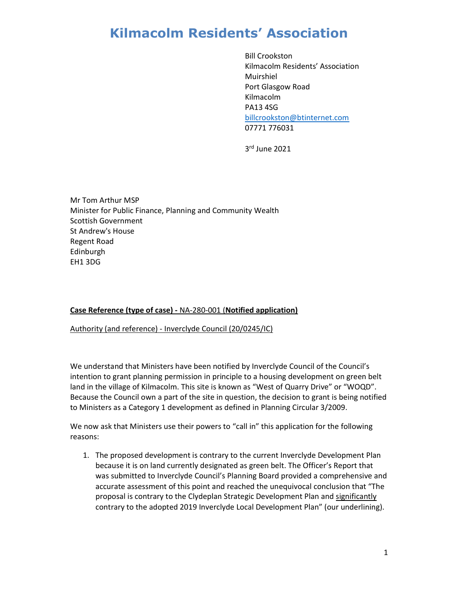Bill Crookston Kilmacolm Residents' Association Muirshiel Port Glasgow Road Kilmacolm PA13 4SG billcrookston@btinternet.com 07771 776031

3 rd June 2021

Mr Tom Arthur MSP Minister for Public Finance, Planning and Community Wealth Scottish Government St Andrew's House Regent Road Edinburgh EH1 3DG

#### Case Reference (type of case) - NA-280-001 (Notified application)

Authority (and reference) - Inverclyde Council (20/0245/IC)

We understand that Ministers have been notified by Inverclyde Council of the Council's intention to grant planning permission in principle to a housing development on green belt land in the village of Kilmacolm. This site is known as "West of Quarry Drive" or "WOQD". Because the Council own a part of the site in question, the decision to grant is being notified to Ministers as a Category 1 development as defined in Planning Circular 3/2009.

We now ask that Ministers use their powers to "call in" this application for the following reasons:

1. The proposed development is contrary to the current Inverclyde Development Plan because it is on land currently designated as green belt. The Officer's Report that was submitted to Inverclyde Council's Planning Board provided a comprehensive and accurate assessment of this point and reached the unequivocal conclusion that "The proposal is contrary to the Clydeplan Strategic Development Plan and significantly contrary to the adopted 2019 Inverclyde Local Development Plan" (our underlining).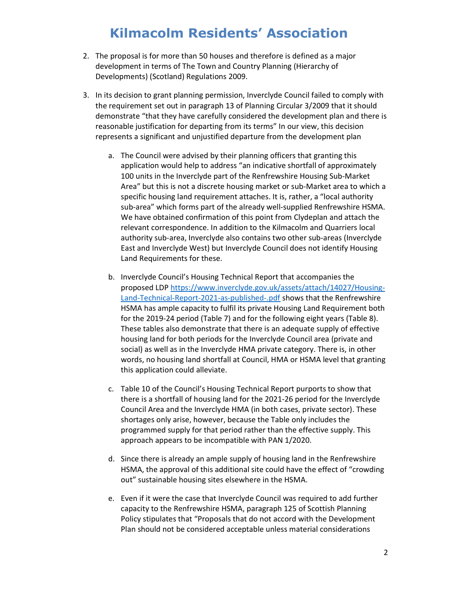- 2. The proposal is for more than 50 houses and therefore is defined as a major development in terms of The Town and Country Planning (Hierarchy of Developments) (Scotland) Regulations 2009.
- 3. In its decision to grant planning permission, Inverclyde Council failed to comply with the requirement set out in paragraph 13 of Planning Circular 3/2009 that it should demonstrate "that they have carefully considered the development plan and there is reasonable justification for departing from its terms" In our view, this decision represents a significant and unjustified departure from the development plan
	- a. The Council were advised by their planning officers that granting this application would help to address "an indicative shortfall of approximately 100 units in the Inverclyde part of the Renfrewshire Housing Sub-Market Area" but this is not a discrete housing market or sub-Market area to which a specific housing land requirement attaches. It is, rather, a "local authority sub-area" which forms part of the already well-supplied Renfrewshire HSMA. We have obtained confirmation of this point from Clydeplan and attach the relevant correspondence. In addition to the Kilmacolm and Quarriers local authority sub-area, Inverclyde also contains two other sub-areas (Inverclyde East and Inverclyde West) but Inverclyde Council does not identify Housing Land Requirements for these.
	- b. Inverclyde Council's Housing Technical Report that accompanies the proposed LDP https://www.inverclyde.gov.uk/assets/attach/14027/Housing-Land-Technical-Report-2021-as-published-.pdf shows that the Renfrewshire HSMA has ample capacity to fulfil its private Housing Land Requirement both for the 2019-24 period (Table 7) and for the following eight years (Table 8). These tables also demonstrate that there is an adequate supply of effective housing land for both periods for the Inverclyde Council area (private and social) as well as in the Inverclyde HMA private category. There is, in other words, no housing land shortfall at Council, HMA or HSMA level that granting this application could alleviate.
	- c. Table 10 of the Council's Housing Technical Report purports to show that there is a shortfall of housing land for the 2021-26 period for the Inverclyde Council Area and the Inverclyde HMA (in both cases, private sector). These shortages only arise, however, because the Table only includes the programmed supply for that period rather than the effective supply. This approach appears to be incompatible with PAN 1/2020.
	- d. Since there is already an ample supply of housing land in the Renfrewshire HSMA, the approval of this additional site could have the effect of "crowding out" sustainable housing sites elsewhere in the HSMA.
	- e. Even if it were the case that Inverclyde Council was required to add further capacity to the Renfrewshire HSMA, paragraph 125 of Scottish Planning Policy stipulates that "Proposals that do not accord with the Development Plan should not be considered acceptable unless material considerations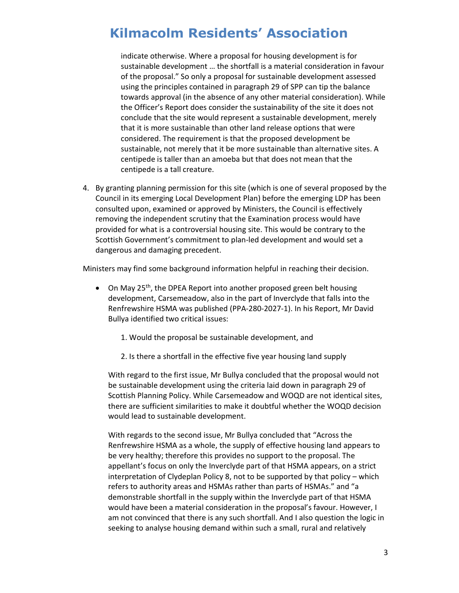indicate otherwise. Where a proposal for housing development is for sustainable development … the shortfall is a material consideration in favour of the proposal." So only a proposal for sustainable development assessed using the principles contained in paragraph 29 of SPP can tip the balance towards approval (in the absence of any other material consideration). While the Officer's Report does consider the sustainability of the site it does not conclude that the site would represent a sustainable development, merely that it is more sustainable than other land release options that were considered. The requirement is that the proposed development be sustainable, not merely that it be more sustainable than alternative sites. A centipede is taller than an amoeba but that does not mean that the centipede is a tall creature.

4. By granting planning permission for this site (which is one of several proposed by the Council in its emerging Local Development Plan) before the emerging LDP has been consulted upon, examined or approved by Ministers, the Council is effectively removing the independent scrutiny that the Examination process would have provided for what is a controversial housing site. This would be contrary to the Scottish Government's commitment to plan-led development and would set a dangerous and damaging precedent.

Ministers may find some background information helpful in reaching their decision.

- On May 25<sup>th</sup>, the DPEA Report into another proposed green belt housing development, Carsemeadow, also in the part of Inverclyde that falls into the Renfrewshire HSMA was published (PPA-280-2027-1). In his Report, Mr David Bullya identified two critical issues:
	- 1. Would the proposal be sustainable development, and
	- 2. Is there a shortfall in the effective five year housing land supply

With regard to the first issue, Mr Bullya concluded that the proposal would not be sustainable development using the criteria laid down in paragraph 29 of Scottish Planning Policy. While Carsemeadow and WOQD are not identical sites, there are sufficient similarities to make it doubtful whether the WOQD decision would lead to sustainable development.

With regards to the second issue, Mr Bullya concluded that "Across the Renfrewshire HSMA as a whole, the supply of effective housing land appears to be very healthy; therefore this provides no support to the proposal. The appellant's focus on only the Inverclyde part of that HSMA appears, on a strict interpretation of Clydeplan Policy 8, not to be supported by that policy – which refers to authority areas and HSMAs rather than parts of HSMAs." and "a demonstrable shortfall in the supply within the Inverclyde part of that HSMA would have been a material consideration in the proposal's favour. However, I am not convinced that there is any such shortfall. And I also question the logic in seeking to analyse housing demand within such a small, rural and relatively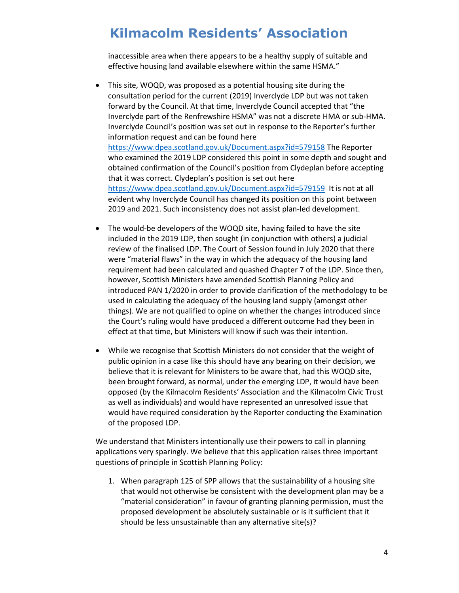inaccessible area when there appears to be a healthy supply of suitable and effective housing land available elsewhere within the same HSMA."

- This site, WOQD, was proposed as a potential housing site during the consultation period for the current (2019) Inverclyde LDP but was not taken forward by the Council. At that time, Inverclyde Council accepted that "the Inverclyde part of the Renfrewshire HSMA" was not a discrete HMA or sub-HMA. Inverclyde Council's position was set out in response to the Reporter's further information request and can be found here https://www.dpea.scotland.gov.uk/Document.aspx?id=579158 The Reporter who examined the 2019 LDP considered this point in some depth and sought and obtained confirmation of the Council's position from Clydeplan before accepting that it was correct. Clydeplan's position is set out here https://www.dpea.scotland.gov.uk/Document.aspx?id=579159 It is not at all evident why Inverclyde Council has changed its position on this point between 2019 and 2021. Such inconsistency does not assist plan-led development.
- The would-be developers of the WOQD site, having failed to have the site included in the 2019 LDP, then sought (in conjunction with others) a judicial review of the finalised LDP. The Court of Session found in July 2020 that there were "material flaws" in the way in which the adequacy of the housing land requirement had been calculated and quashed Chapter 7 of the LDP. Since then, however, Scottish Ministers have amended Scottish Planning Policy and introduced PAN 1/2020 in order to provide clarification of the methodology to be used in calculating the adequacy of the housing land supply (amongst other things). We are not qualified to opine on whether the changes introduced since the Court's ruling would have produced a different outcome had they been in effect at that time, but Ministers will know if such was their intention.
- While we recognise that Scottish Ministers do not consider that the weight of public opinion in a case like this should have any bearing on their decision, we believe that it is relevant for Ministers to be aware that, had this WOQD site, been brought forward, as normal, under the emerging LDP, it would have been opposed (by the Kilmacolm Residents' Association and the Kilmacolm Civic Trust as well as individuals) and would have represented an unresolved issue that would have required consideration by the Reporter conducting the Examination of the proposed LDP.

We understand that Ministers intentionally use their powers to call in planning applications very sparingly. We believe that this application raises three important questions of principle in Scottish Planning Policy:

1. When paragraph 125 of SPP allows that the sustainability of a housing site that would not otherwise be consistent with the development plan may be a "material consideration" in favour of granting planning permission, must the proposed development be absolutely sustainable or is it sufficient that it should be less unsustainable than any alternative site(s)?